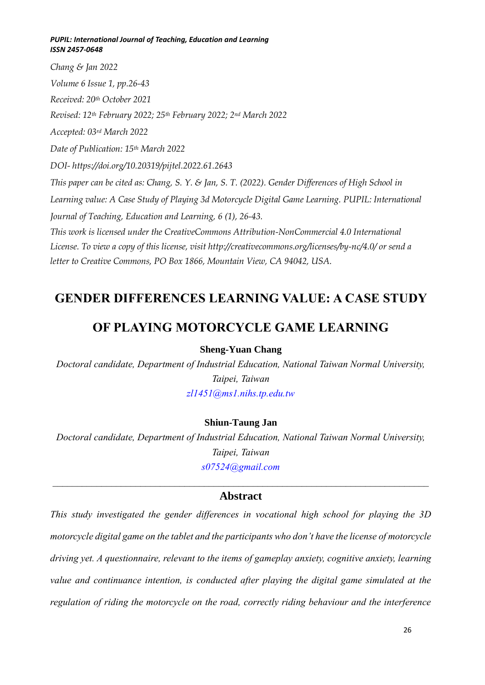*Chang & Jan 2022 Volume 6 Issue 1, pp.26-43 Received: 20th October 2021 Revised: 12th February 2022; 25th February 2022; 2nd March 2022 Accepted: 03rd March 2022 Date of Publication: 15th March 2022 DOI- [https://doi.org/10.20319/pijtel.2022.61.](https://doi.org/10.20319/pijtel.2022.61)2643 This paper can be cited as: Chang, S. Y. & Jan, S. T. (2022). Gender Differences of High School in Learning value: A Case Study of Playing 3d Motorcycle Digital Game Learning. PUPIL: International Journal of Teaching, Education and Learning, 6 (1), 26-43. This work is licensed under the CreativeCommons Attribution-NonCommercial 4.0 International License. To view a copy of this license, visit http://creativecommons.org/licenses/by-nc/4.0/ or send a letter to Creative Commons, PO Box 1866, Mountain View, CA 94042, USA.*

# **GENDER DIFFERENCES LEARNING VALUE: A CASE STUDY**

# **OF PLAYING MOTORCYCLE GAME LEARNING**

# **Sheng-Yuan Chang**

*Doctoral candidate, Department of Industrial Education, National Taiwan Normal University, Taipei, Taiwan [zl1451@ms1.nihs.tp.edu.tw](mailto:zl1451@ms1.nihs.tp.edu.tw)*

# **Shiun-Taung Jan**

*Doctoral candidate, Department of Industrial Education, National Taiwan Normal University, Taipei, Taiwan [s07524@gmail.com](mailto:s07524@gmail.com)*

# $\mathcal{L}_\mathcal{L} = \mathcal{L}_\mathcal{L} = \mathcal{L}_\mathcal{L} = \mathcal{L}_\mathcal{L} = \mathcal{L}_\mathcal{L} = \mathcal{L}_\mathcal{L} = \mathcal{L}_\mathcal{L} = \mathcal{L}_\mathcal{L} = \mathcal{L}_\mathcal{L} = \mathcal{L}_\mathcal{L} = \mathcal{L}_\mathcal{L} = \mathcal{L}_\mathcal{L} = \mathcal{L}_\mathcal{L} = \mathcal{L}_\mathcal{L} = \mathcal{L}_\mathcal{L} = \mathcal{L}_\mathcal{L} = \mathcal{L}_\mathcal{L}$ **Abstract**

*This study investigated the gender differences in vocational high school for playing the 3D motorcycle digital game on the tablet and the participants who don't have the license of motorcycle driving yet. A questionnaire, relevant to the items of gameplay anxiety, cognitive anxiety, learning value and continuance intention, is conducted after playing the digital game simulated at the regulation of riding the motorcycle on the road, correctly riding behaviour and the interference*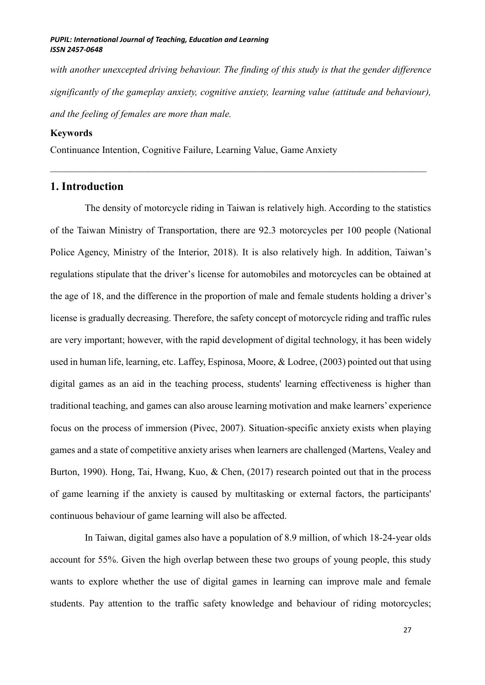with another unexcepted driving behaviour. The finding of this study is that the gender difference *significantly of the gameplay anxiety, cognitive anxiety, learning value (attitude and behaviour), and the feeling of females are more than male.*

#### **Keywords**

Continuance Intention, Cognitive Failure, Learning Value, Game Anxiety

# **1. Introduction**

The density of motorcycle riding in Taiwan is relatively high. According to the statistics of the Taiwan Ministry of Transportation, there are 92.3 motorcycles per 100 people (National Police Agency, Ministry of the Interior, 2018). It is also relatively high. In addition, Taiwan's regulations stipulate that the driver's license for automobiles and motorcycles can be obtained at the age of 18, and the difference in the proportion of male and female students holding a driver's license is gradually decreasing. Therefore, the safety concept of motorcycle riding and traffic rules are very important; however, with the rapid development of digital technology, it has been widely used in human life, learning, etc. Laffey, Espinosa, Moore, & Lodree, (2003) pointed out that using digital games as an aid in the teaching process, students' learning effectiveness is higher than traditional teaching, and games can also arouse learning motivation and make learners' experience focus on the process of immersion (Pivec, 2007). Situation-specific anxiety exists when playing games and a state of competitive anxiety arises when learners are challenged (Martens, Vealey and Burton, 1990). Hong, Tai, Hwang, Kuo, & Chen, (2017) research pointed out that in the process of game learning if the anxiety is caused by multitasking or external factors, the participants' continuous behaviour of game learning will also be affected.

In Taiwan, digital games also have a population of 8.9 million, of which 18-24-year olds account for 55%. Given the high overlap between these two groups of young people, this study wants to explore whether the use of digital games in learning can improve male and female students. Pay attention to the traffic safety knowledge and behaviour of riding motorcycles;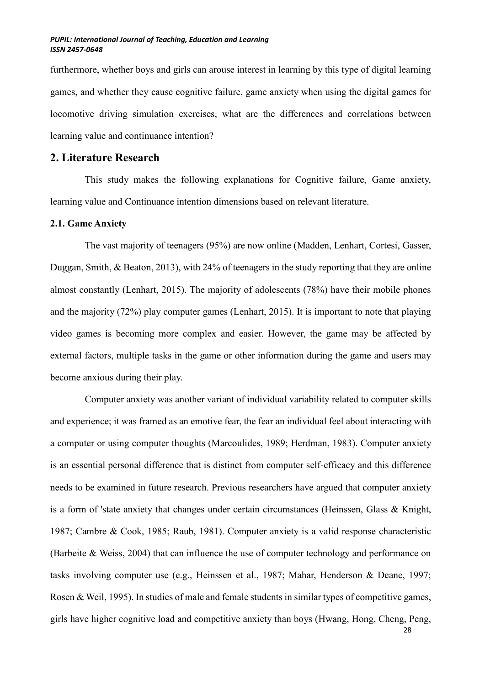furthermore, whether boys and girls can arouse interest in learning by this type of digital learning games, and whether they cause cognitive failure, game anxiety when using the digital games for locomotive driving simulation exercises, what are the differences and correlations between learning value and continuance intention?

# **2. Literature Research**

This study makes the following explanations for Cognitive failure, Game anxiety, learning value and Continuance intention dimensions based on relevant literature.

## **2.1. Game Anxiety**

The vast majority of teenagers (95%) are now online (Madden, Lenhart, Cortesi, Gasser, Duggan, Smith, & Beaton, 2013), with 24% of teenagers in the study reporting that they are online almost constantly (Lenhart, 2015). The majority of adolescents (78%) have their mobile phones and the majority (72%) play computer games (Lenhart, 2015). It is important to note that playing video games is becoming more complex and easier. However, the game may be affected by external factors, multiple tasks in the game or other information during the game and users may become anxious during their play.

Computer anxiety was another variant of individual variability related to computer skills and experience; it was framed as an emotive fear, the fear an individual feel about interacting with a computer or using computer thoughts (Marcoulides, 1989; Herdman, 1983). Computer anxiety is an essential personal difference that is distinct from computer self-efficacy and this difference needs to be examined in future research. Previous researchers have argued that computer anxiety is a form of 'state anxiety that changes under certain circumstances (Heinssen, Glass & Knight, 1987; Cambre & Cook, 1985; Raub, 1981). Computer anxiety is a valid response characteristic (Barbeite & Weiss, 2004) that can influence the use of computer technology and performance on tasks involving computer use (e.g., Heinssen et al., 1987; Mahar, Henderson & Deane, 1997; Rosen & Weil, 1995). In studies of male and female students in similar types of competitive games, girls have higher cognitive load and competitive anxiety than boys (Hwang, Hong, Cheng, Peng,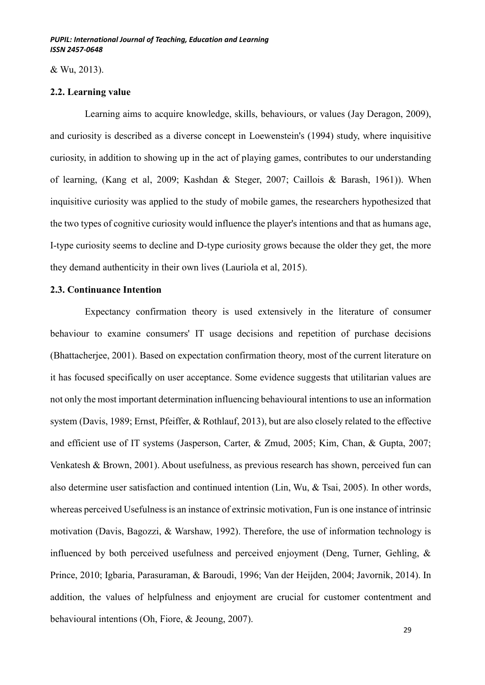& Wu, 2013).

### **2.2. Learning value**

Learning aims to acquire knowledge, skills, behaviours, or values (Jay Deragon, 2009), and curiosity is described as a diverse concept in Loewenstein's (1994) study, where inquisitive curiosity, in addition to showing up in the act of playing games, contributes to our understanding of learning, (Kang et al, 2009; Kashdan & Steger, 2007; Caillois & Barash, 1961)). When inquisitive curiosity was applied to the study of mobile games, the researchers hypothesized that the two types of cognitive curiosity would influence the player's intentions and that as humans age, I-type curiosity seems to decline and D-type curiosity grows because the older they get, the more they demand authenticity in their own lives (Lauriola et al, 2015).

## **2.3. Continuance Intention**

Expectancy confirmation theory is used extensively in the literature of consumer behaviour to examine consumers' IT usage decisions and repetition of purchase decisions (Bhattacherjee, 2001). Based on expectation confirmation theory, most of the current literature on it has focused specifically on user acceptance. Some evidence suggests that utilitarian values are not only the most important determination influencing behavioural intentions to use an information system (Davis, 1989; Ernst, Pfeiffer, & Rothlauf, 2013), but are also closely related to the effective and efficient use of IT systems (Jasperson, Carter, & Zmud, 2005; Kim, Chan, & Gupta, 2007; Venkatesh & Brown, 2001). About usefulness, as previous research has shown, perceived fun can also determine user satisfaction and continued intention (Lin, Wu, & Tsai, 2005). In other words, whereas perceived Usefulness is an instance of extrinsic motivation, Fun is one instance of intrinsic motivation (Davis, Bagozzi, & Warshaw, 1992). Therefore, the use of information technology is influenced by both perceived usefulness and perceived enjoyment (Deng, Turner, Gehling, & Prince, 2010; Igbaria, Parasuraman, & Baroudi, 1996; Van der Heijden, 2004; Javornik, 2014). In addition, the values of helpfulness and enjoyment are crucial for customer contentment and behavioural intentions (Oh, Fiore, & Jeoung, 2007).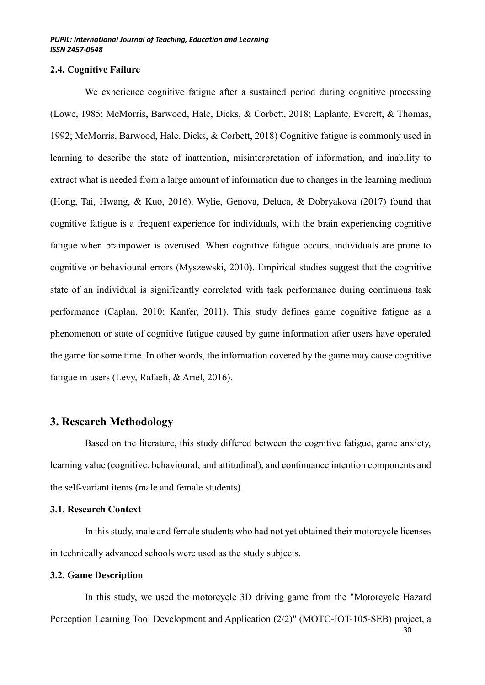### **2.4. Cognitive Failure**

We experience cognitive fatigue after a sustained period during cognitive processing (Lowe, 1985; McMorris, Barwood, Hale, Dicks, & Corbett, 2018; Laplante, Everett, & Thomas, 1992; McMorris, Barwood, Hale, Dicks, & Corbett, 2018) Cognitive fatigue is commonly used in learning to describe the state of inattention, misinterpretation of information, and inability to extract what is needed from a large amount of information due to changes in the learning medium (Hong, Tai, Hwang, & Kuo, 2016). Wylie, Genova, Deluca, & Dobryakova (2017) found that cognitive fatigue is a frequent experience for individuals, with the brain experiencing cognitive fatigue when brainpower is overused. When cognitive fatigue occurs, individuals are prone to cognitive or behavioural errors (Myszewski, 2010). Empirical studies suggest that the cognitive state of an individual is significantly correlated with task performance during continuous task performance (Caplan, 2010; Kanfer, 2011). This study defines game cognitive fatigue as a phenomenon or state of cognitive fatigue caused by game information after users have operated the game for some time. In other words, the information covered by the game may cause cognitive fatigue in users (Levy, Rafaeli, & Ariel, 2016).

# **3. Research Methodology**

Based on the literature, this study differed between the cognitive fatigue, game anxiety, learning value (cognitive, behavioural, and attitudinal), and continuance intention components and the self-variant items (male and female students).

## **3.1. Research Context**

In this study, male and female students who had not yet obtained their motorcycle licenses in technically advanced schools were used as the study subjects.

# **3.2. Game Description**

In this study, we used the motorcycle 3D driving game from the "Motorcycle Hazard Perception Learning Tool Development and Application (2/2)" (MOTC-IOT-105-SEB) project, a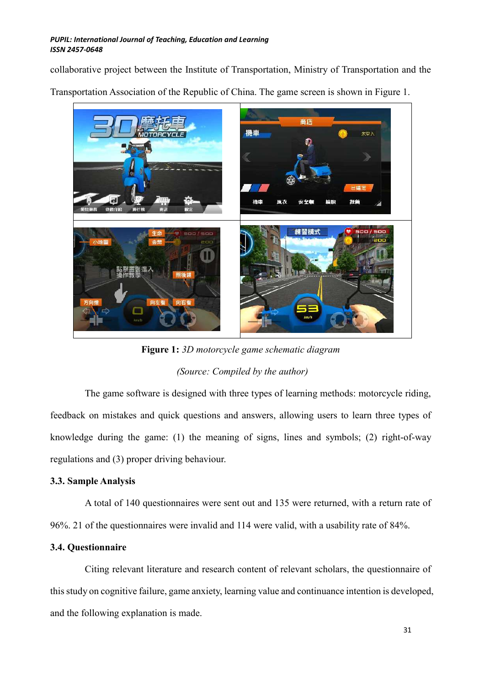collaborative project between the Institute of Transportation, Ministry of Transportation and the

Transportation Association of the Republic of China. The game screen is shown in Figure 1.



**Figure 1:** *3D motorcycle game schematic diagram (Source: Compiled by the author)*

The game software is designed with three types of learning methods: motorcycle riding, feedback on mistakes and quick questions and answers, allowing users to learn three types of knowledge during the game: (1) the meaning of signs, lines and symbols; (2) right-of-way regulations and (3) proper driving behaviour.

# **3.3. Sample Analysis**

A total of 140 questionnaires were sent out and 135 were returned, with a return rate of 96%. 21 of the questionnaires were invalid and 114 were valid, with a usability rate of 84%.

# **3.4. Questionnaire**

Citing relevant literature and research content of relevant scholars, the questionnaire of this study on cognitive failure, game anxiety, learning value and continuance intention is developed, and the following explanation is made.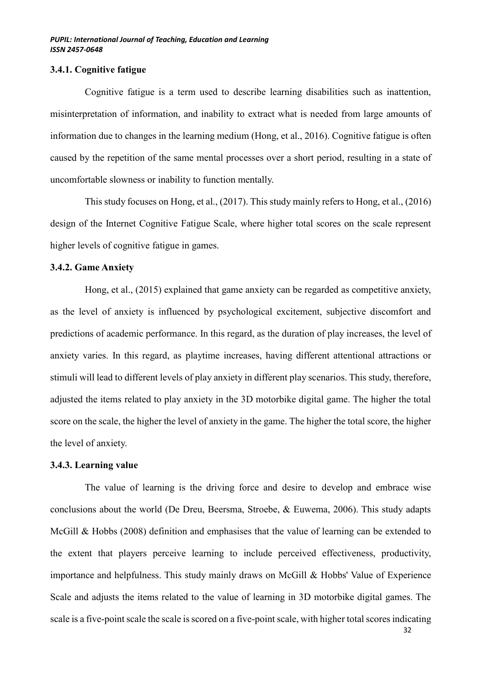## **3.4.1. Cognitive fatigue**

Cognitive fatigue is a term used to describe learning disabilities such as inattention, misinterpretation of information, and inability to extract what is needed from large amounts of information due to changes in the learning medium (Hong, et al., 2016). Cognitive fatigue is often caused by the repetition of the same mental processes over a short period, resulting in a state of uncomfortable slowness or inability to function mentally.

This study focuses on Hong, et al., (2017). This study mainly refers to Hong, et al., (2016) design of the Internet Cognitive Fatigue Scale, where higher total scores on the scale represent higher levels of cognitive fatigue in games.

## **3.4.2. Game Anxiety**

Hong, et al., (2015) explained that game anxiety can be regarded as competitive anxiety, as the level of anxiety is influenced by psychological excitement, subjective discomfort and predictions of academic performance. In this regard, as the duration of play increases, the level of anxiety varies. In this regard, as playtime increases, having different attentional attractions or stimuli will lead to different levels of play anxiety in different play scenarios. This study, therefore, adjusted the items related to play anxiety in the 3D motorbike digital game. The higher the total score on the scale, the higher the level of anxiety in the game. The higher the total score, the higher the level of anxiety.

# **3.4.3. Learning value**

The value of learning is the driving force and desire to develop and embrace wise conclusions about the world (De Dreu, Beersma, Stroebe, & Euwema, 2006). This study adapts McGill & Hobbs (2008) definition and emphasises that the value of learning can be extended to the extent that players perceive learning to include perceived effectiveness, productivity, importance and helpfulness. This study mainly draws on McGill & Hobbs' Value of Experience Scale and adjusts the items related to the value of learning in 3D motorbike digital games. The scale is a five-point scale the scale is scored on a five-point scale, with higher total scores indicating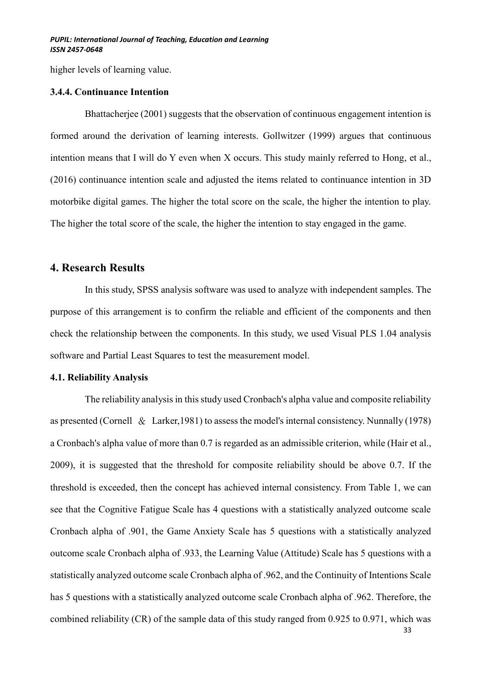higher levels of learning value.

#### **3.4.4. Continuance Intention**

Bhattacherjee (2001) suggests that the observation of continuous engagement intention is formed around the derivation of learning interests. Gollwitzer (1999) argues that continuous intention means that I will do Y even when X occurs. This study mainly referred to Hong, et al., (2016) continuance intention scale and adjusted the items related to continuance intention in 3D motorbike digital games. The higher the total score on the scale, the higher the intention to play. The higher the total score of the scale, the higher the intention to stay engaged in the game.

# **4. Research Results**

In this study, SPSS analysis software was used to analyze with independent samples. The purpose of this arrangement is to confirm the reliable and efficient of the components and then check the relationship between the components. In this study, we used Visual PLS 1.04 analysis software and Partial Least Squares to test the measurement model.

## **4.1. Reliability Analysis**

The reliability analysis in this study used Cronbach's alpha value and composite reliability as presented (Cornell & Larker,1981) to assess the model's internal consistency. Nunnally (1978) a Cronbach's alpha value of more than 0.7 is regarded as an admissible criterion, while (Hair et al., 2009), it is suggested that the threshold for composite reliability should be above 0.7. If the threshold is exceeded, then the concept has achieved internal consistency. From Table 1, we can see that the Cognitive Fatigue Scale has 4 questions with a statistically analyzed outcome scale Cronbach alpha of .901, the Game Anxiety Scale has 5 questions with a statistically analyzed outcome scale Cronbach alpha of .933, the Learning Value (Attitude) Scale has 5 questions with a statistically analyzed outcome scale Cronbach alpha of .962, and the Continuity of Intentions Scale has 5 questions with a statistically analyzed outcome scale Cronbach alpha of .962. Therefore, the combined reliability (CR) of the sample data of this study ranged from 0.925 to 0.971, which was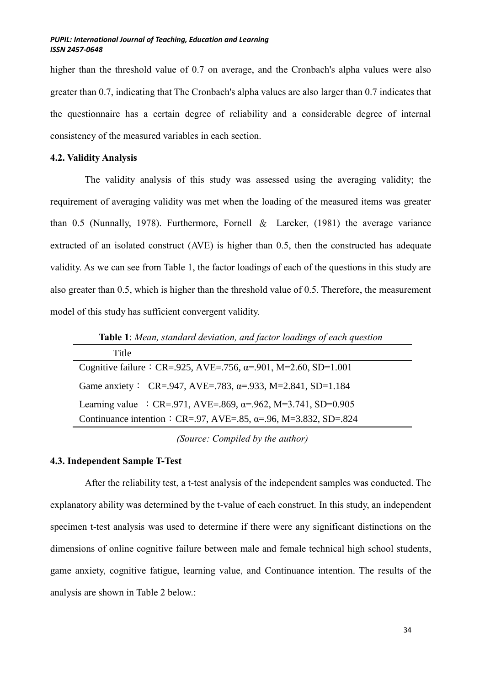higher than the threshold value of 0.7 on average, and the Cronbach's alpha values were also greater than 0.7, indicating that The Cronbach's alpha values are also larger than 0.7 indicates that the questionnaire has a certain degree of reliability and a considerable degree of internal consistency of the measured variables in each section.

## **4.2. Validity Analysis**

The validity analysis of this study was assessed using the averaging validity; the requirement of averaging validity was met when the loading of the measured items was greater than 0.5 (Nunnally, 1978). Furthermore, Fornell & Larcker, (1981) the average variance extracted of an isolated construct (AVE) is higher than 0.5, then the constructed has adequate validity. As we can see from Table 1, the factor loadings of each of the questions in this study are also greater than 0.5, which is higher than the threshold value of 0.5. Therefore, the measurement model of this study has sufficient convergent validity.

Title Cognitive failure: CR=.925, AVE=.756,  $\alpha$ =.901, M=2.60, SD=1.001 Game anxiety: CR=.947, AVE=.783,  $\alpha$ =.933, M=2.841, SD=1.184 Learning value : CR=.971, AVE=.869,  $\alpha$ =.962, M=3.741, SD=0.905 Continuance intention: CR=.97, AVE=.85,  $\alpha$ =.96, M=3.832, SD=.824

**Table 1**: *Mean, standard deviation, and factor loadings of each question*

*(Source: Compiled by the author)*

## **4.3. Independent Sample T-Test**

After the reliability test, a t-test analysis of the independent samples was conducted. The explanatory ability was determined by the t-value of each construct. In this study, an independent specimen t-test analysis was used to determine if there were any significant distinctions on the dimensions of online cognitive failure between male and female technical high school students, game anxiety, cognitive fatigue, learning value, and Continuance intention. The results of the analysis are shown in Table 2 below.: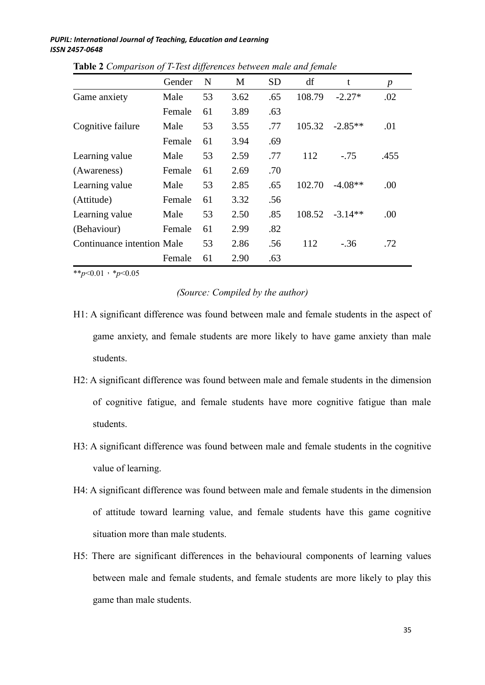|                            | Gender | N  | M    | <b>SD</b> | df     | t         | $\boldsymbol{p}$ |
|----------------------------|--------|----|------|-----------|--------|-----------|------------------|
| Game anxiety               | Male   | 53 | 3.62 | .65       | 108.79 | $-2.27*$  | .02              |
|                            | Female | 61 | 3.89 | .63       |        |           |                  |
| Cognitive failure          | Male   | 53 | 3.55 | .77       | 105.32 | $-2.85**$ | .01              |
|                            | Female | 61 | 3.94 | .69       |        |           |                  |
| Learning value             | Male   | 53 | 2.59 | .77       | 112    | $-75$     | .455             |
| (Awareness)                | Female | 61 | 2.69 | .70       |        |           |                  |
| Learning value             | Male   | 53 | 2.85 | .65       | 102.70 | $-4.08**$ | .00              |
| (Attitude)                 | Female | 61 | 3.32 | .56       |        |           |                  |
| Learning value             | Male   | 53 | 2.50 | .85       | 108.52 | $-3.14**$ | .00              |
| (Behaviour)                | Female | 61 | 2.99 | .82       |        |           |                  |
| Continuance intention Male |        | 53 | 2.86 | .56       | 112    | $-.36$    | .72              |
|                            | Female | 61 | 2.90 | .63       |        |           |                  |

**Table 2** *Comparison of T-Test differences between male and female* 

\*\**p*<0.01,\**p*<0.05

# *(Source: Compiled by the author)*

- H1: A significant difference was found between male and female students in the aspect of game anxiety, and female students are more likely to have game anxiety than male students.
- H2: A significant difference was found between male and female students in the dimension of cognitive fatigue, and female students have more cognitive fatigue than male students.
- H3: A significant difference was found between male and female students in the cognitive value of learning.
- H4: A significant difference was found between male and female students in the dimension of attitude toward learning value, and female students have this game cognitive situation more than male students.
- H5: There are significant differences in the behavioural components of learning values between male and female students, and female students are more likely to play this game than male students.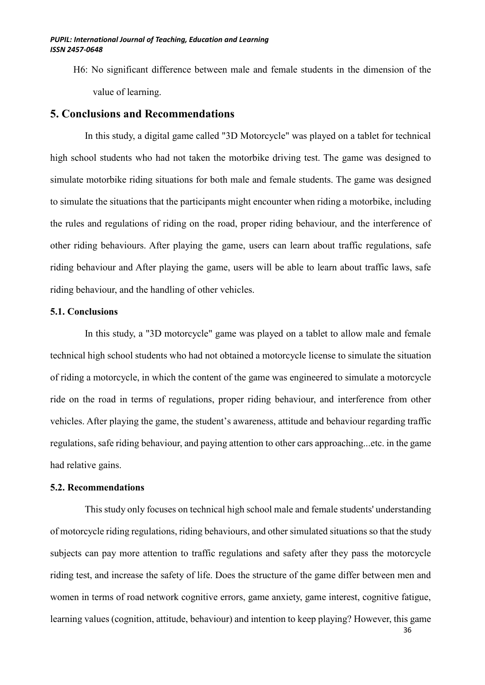H6: No significant difference between male and female students in the dimension of the value of learning.

# **5. Conclusions and Recommendations**

In this study, a digital game called "3D Motorcycle" was played on a tablet for technical high school students who had not taken the motorbike driving test. The game was designed to simulate motorbike riding situations for both male and female students. The game was designed to simulate the situations that the participants might encounter when riding a motorbike, including the rules and regulations of riding on the road, proper riding behaviour, and the interference of other riding behaviours. After playing the game, users can learn about traffic regulations, safe riding behaviour and After playing the game, users will be able to learn about traffic laws, safe riding behaviour, and the handling of other vehicles.

# **5.1. Conclusions**

In this study, a "3D motorcycle" game was played on a tablet to allow male and female technical high school students who had not obtained a motorcycle license to simulate the situation of riding a motorcycle, in which the content of the game was engineered to simulate a motorcycle ride on the road in terms of regulations, proper riding behaviour, and interference from other vehicles. After playing the game, the student's awareness, attitude and behaviour regarding traffic regulations, safe riding behaviour, and paying attention to other cars approaching...etc. in the game had relative gains.

## **5.2. Recommendations**

This study only focuses on technical high school male and female students' understanding of motorcycle riding regulations, riding behaviours, and other simulated situations so that the study subjects can pay more attention to traffic regulations and safety after they pass the motorcycle riding test, and increase the safety of life. Does the structure of the game differ between men and women in terms of road network cognitive errors, game anxiety, game interest, cognitive fatigue, learning values (cognition, attitude, behaviour) and intention to keep playing? However, this game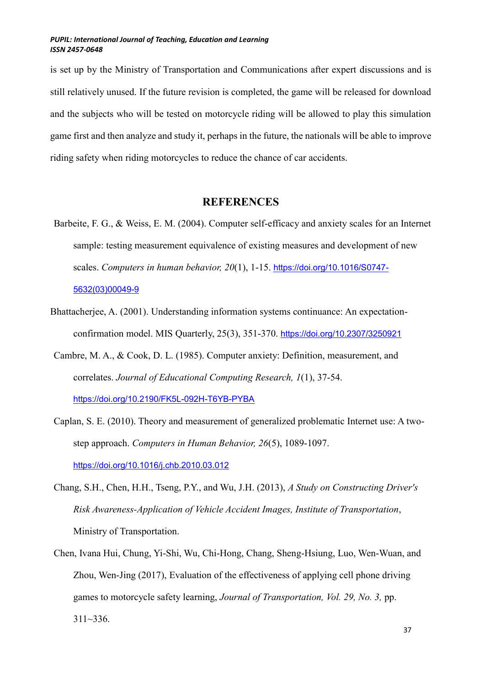is set up by the Ministry of Transportation and Communications after expert discussions and is still relatively unused. If the future revision is completed, the game will be released for download and the subjects who will be tested on motorcycle riding will be allowed to play this simulation game first and then analyze and study it, perhaps in the future, the nationals will be able to improve riding safety when riding motorcycles to reduce the chance of car accidents.

# **REFERENCES**

- Barbeite, F. G., & Weiss, E. M. (2004). Computer self-efficacy and anxiety scales for an Internet sample: testing measurement equivalence of existing measures and development of new scales. *Computers in human behavior, 20*(1), 1-15. [https://doi.org/10.1016/S0747-](https://doi.org/10.1016/S0747-5632(03)00049-9) [5632\(03\)00049-9](https://doi.org/10.1016/S0747-5632(03)00049-9)
- Bhattacherjee, A. (2001). Understanding information systems continuance: An expectationconfirmation model. MIS Quarterly, 25(3), 351-370. <https://doi.org/10.2307/3250921>
- Cambre, M. A., & Cook, D. L. (1985). Computer anxiety: Definition, measurement, and correlates. *Journal of Educational Computing Research, 1*(1), 37-54. <https://doi.org/10.2190/FK5L-092H-T6YB-PYBA>
- Caplan, S. E. (2010). Theory and measurement of generalized problematic Internet use: A twostep approach. *Computers in Human Behavior, 26*(5), 1089-1097. <https://doi.org/10.1016/j.chb.2010.03.012>
- Chang, S.H., Chen, H.H., Tseng, P.Y., and Wu, J.H. (2013), *A Study on Constructing Driver's Risk Awareness-Application of Vehicle Accident Images, Institute of Transportation*, Ministry of Transportation.
- Chen, Ivana Hui, Chung, Yi-Shi, Wu, Chi-Hong, Chang, Sheng-Hsiung, Luo, Wen-Wuan, and Zhou, Wen-Jing (2017), Evaluation of the effectiveness of applying cell phone driving games to motorcycle safety learning, *Journal of Transportation, Vol. 29, No. 3,* pp.  $311 - 336$ .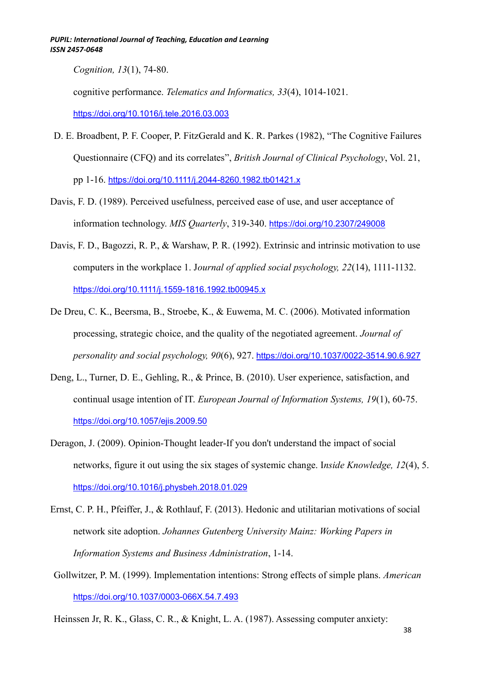*Cognition, 13*(1), 74-80.

cognitive performance. *Telematics and Informatics, 33*(4), 1014-1021.

<https://doi.org/10.1016/j.tele.2016.03.003>

- D. E. Broadbent, P. F. Cooper, P. FitzGerald and K. R. Parkes (1982), "The Cognitive Failures Questionnaire (CFQ) and its correlates", *British Journal of Clinical Psychology*, Vol. 21, pp 1-16. <https://doi.org/10.1111/j.2044-8260.1982.tb01421.x>
- Davis, F. D. (1989). Perceived usefulness, perceived ease of use, and user acceptance of information technology. *MIS Quarterly*, 319-340. <https://doi.org/10.2307/249008>
- Davis, F. D., Bagozzi, R. P., & Warshaw, P. R. (1992). Extrinsic and intrinsic motivation to use computers in the workplace 1. J*ournal of applied social psychology, 22*(14), 1111-1132. <https://doi.org/10.1111/j.1559-1816.1992.tb00945.x>
- De Dreu, C. K., Beersma, B., Stroebe, K., & Euwema, M. C. (2006). Motivated information processing, strategic choice, and the quality of the negotiated agreement. *Journal of personality and social psychology, 90*(6), 927. <https://doi.org/10.1037/0022-3514.90.6.927>
- Deng, L., Turner, D. E., Gehling, R., & Prince, B. (2010). User experience, satisfaction, and continual usage intention of IT. *European Journal of Information Systems, 19*(1), 60-75. <https://doi.org/10.1057/ejis.2009.50>
- Deragon, J. (2009). Opinion-Thought leader-If you don't understand the impact of social networks, figure it out using the six stages of systemic change. I*nside Knowledge, 12*(4), 5. <https://doi.org/10.1016/j.physbeh.2018.01.029>
- Ernst, C. P. H., Pfeiffer, J., & Rothlauf, F. (2013). Hedonic and utilitarian motivations of social network site adoption. *Johannes Gutenberg University Mainz: Working Papers in Information Systems and Business Administration*, 1-14.
- Gollwitzer, P. M. (1999). Implementation intentions: Strong effects of simple plans. *American* <https://doi.org/10.1037/0003-066X.54.7.493>

Heinssen Jr, R. K., Glass, C. R., & Knight, L. A. (1987). Assessing computer anxiety: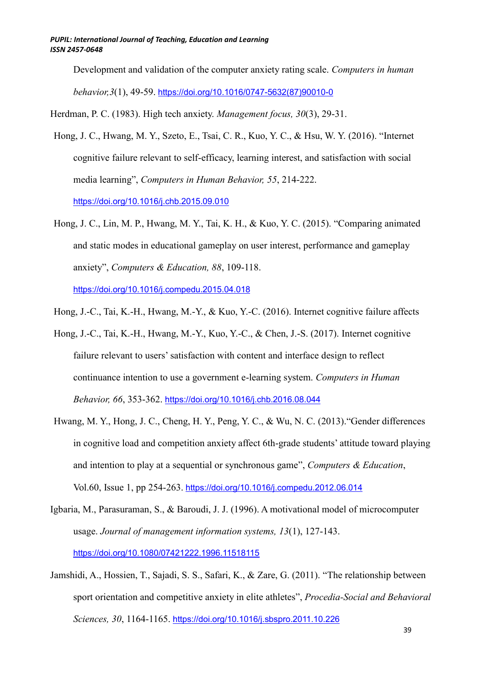Development and validation of the computer anxiety rating scale. *Computers in human behavior,3*(1), 49-59. [https://doi.org/10.1016/0747-5632\(87\)90010-0](https://doi.org/10.1016/0747-5632(87)90010-0)

Herdman, P. C. (1983). High tech anxiety. *Management focus, 30*(3), 29-31.

Hong, J. C., Hwang, M. Y., Szeto, E., Tsai, C. R., Kuo, Y. C., & Hsu, W. Y. (2016). "Internet cognitive failure relevant to self-efficacy, learning interest, and satisfaction with social media learning", *Computers in Human Behavior, 55*, 214-222. <https://doi.org/10.1016/j.chb.2015.09.010>

Hong, J. C., Lin, M. P., Hwang, M. Y., Tai, K. H., & Kuo, Y. C. (2015). "Comparing animated and static modes in educational gameplay on user interest, performance and gameplay anxiety", *Computers & Education, 88*, 109-118.

<https://doi.org/10.1016/j.compedu.2015.04.018>

- Hong, J.-C., Tai, K.-H., Hwang, M.-Y., & Kuo, Y.-C. (2016). Internet cognitive failure affects
- Hong, J.-C., Tai, K.-H., Hwang, M.-Y., Kuo, Y.-C., & Chen, J.-S. (2017). Internet cognitive failure relevant to users' satisfaction with content and interface design to reflect continuance intention to use a government e-learning system. *Computers in Human Behavior, 66*, 353-362. <https://doi.org/10.1016/j.chb.2016.08.044>
- Hwang, M. Y., Hong, J. C., Cheng, H. Y., Peng, Y. C., & Wu, N. C. (2013)."Gender differences in cognitive load and competition anxiety affect 6th-grade students' attitude toward playing and intention to play at a sequential or synchronous game", *Computers & Education*, Vol.60, Issue 1, pp 254-263. <https://doi.org/10.1016/j.compedu.2012.06.014>
- Igbaria, M., Parasuraman, S., & Baroudi, J. J. (1996). A motivational model of microcomputer usage. *Journal of management information systems, 13*(1), 127-143. <https://doi.org/10.1080/07421222.1996.11518115>
- Jamshidi, A., Hossien, T., Sajadi, S. S., Safari, K., & Zare, G. (2011). "The relationship between sport orientation and competitive anxiety in elite athletes", *Procedia-Social and Behavioral Sciences, 30*, 1164-1165. <https://doi.org/10.1016/j.sbspro.2011.10.226>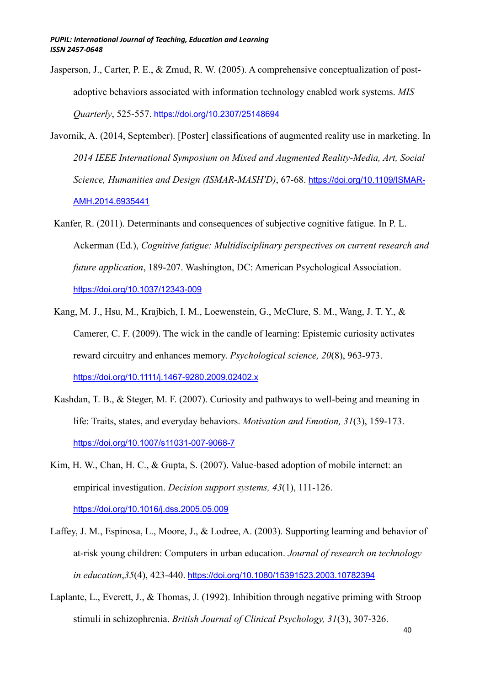- Jasperson, J., Carter, P. E., & Zmud, R. W. (2005). A comprehensive conceptualization of postadoptive behaviors associated with information technology enabled work systems. *MIS Quarterly*, 525-557. <https://doi.org/10.2307/25148694>
- Javornik, A. (2014, September). [Poster] classifications of augmented reality use in marketing. In *2014 IEEE International Symposium on Mixed and Augmented Reality-Media, Art, Social Science, Humanities and Design (ISMAR-MASH'D)*, 67-68. [https://doi.org/10.1109/ISMAR-](https://doi.org/10.1109/ISMAR-AMH.2014.6935441)[AMH.2014.6935441](https://doi.org/10.1109/ISMAR-AMH.2014.6935441)
- Kanfer, R. (2011). Determinants and consequences of subjective cognitive fatigue. In P. L. Ackerman (Ed.), *Cognitive fatigue: Multidisciplinary perspectives on current research and future application*, 189-207. Washington, DC: American Psychological Association. <https://doi.org/10.1037/12343-009>
- Kang, M. J., Hsu, M., Krajbich, I. M., Loewenstein, G., McClure, S. M., Wang, J. T. Y., & Camerer, C. F. (2009). The wick in the candle of learning: Epistemic curiosity activates reward circuitry and enhances memory. *Psychological science, 20*(8), 963-973. <https://doi.org/10.1111/j.1467-9280.2009.02402.x>
- Kashdan, T. B., & Steger, M. F. (2007). Curiosity and pathways to well-being and meaning in life: Traits, states, and everyday behaviors. *Motivation and Emotion, 31*(3), 159-173. <https://doi.org/10.1007/s11031-007-9068-7>
- Kim, H. W., Chan, H. C., & Gupta, S. (2007). Value-based adoption of mobile internet: an empirical investigation. *Decision support systems, 43*(1), 111-126. <https://doi.org/10.1016/j.dss.2005.05.009>
- Laffey, J. M., Espinosa, L., Moore, J., & Lodree, A. (2003). Supporting learning and behavior of at-risk young children: Computers in urban education. *Journal of research on technology in education*,*35*(4), 423-440. <https://doi.org/10.1080/15391523.2003.10782394>
- Laplante, L., Everett, J., & Thomas, J. (1992). Inhibition through negative priming with Stroop stimuli in schizophrenia. *British Journal of Clinical Psychology, 31*(3), 307-326.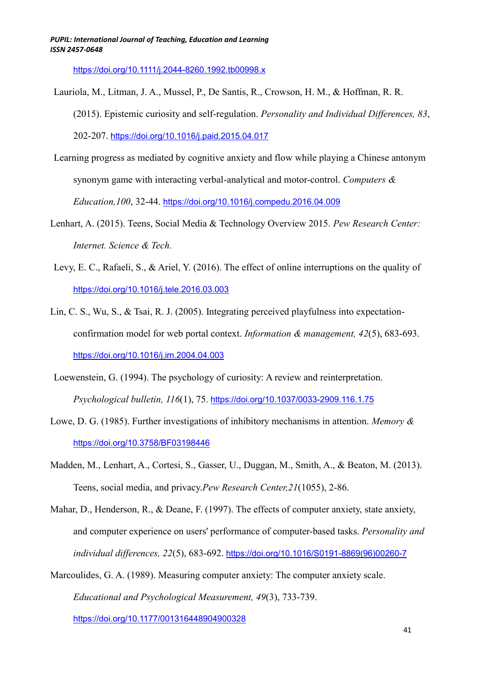<https://doi.org/10.1111/j.2044-8260.1992.tb00998.x>

- Lauriola, M., Litman, J. A., Mussel, P., De Santis, R., Crowson, H. M., & Hoffman, R. R.
	- (2015). Epistemic curiosity and self-regulation. *Personality and Individual Differences, 83*,

202-207. <https://doi.org/10.1016/j.paid.2015.04.017>

- Learning progress as mediated by cognitive anxiety and flow while playing a Chinese antonym synonym game with interacting verbal-analytical and motor-control. *Computers & Education,100*, 32-44. <https://doi.org/10.1016/j.compedu.2016.04.009>
- Lenhart, A. (2015). Teens, Social Media & Technology Overview 2015. *Pew Research Center: Internet. Science & Tech.*
- Levy, E. C., Rafaeli, S., & Ariel, Y. (2016). The effect of online interruptions on the quality of <https://doi.org/10.1016/j.tele.2016.03.003>
- Lin, C. S., Wu, S., & Tsai, R. J. (2005). Integrating perceived playfulness into expectationconfirmation model for web portal context. *Information & management, 42*(5), 683-693. <https://doi.org/10.1016/j.im.2004.04.003>
- Loewenstein, G. (1994). The psychology of curiosity: A review and reinterpretation. *Psychological bulletin, 116*(1), 75. <https://doi.org/10.1037/0033-2909.116.1.75>
- Lowe, D. G. (1985). Further investigations of inhibitory mechanisms in attention. *Memory &* <https://doi.org/10.3758/BF03198446>
- Madden, M., Lenhart, A., Cortesi, S., Gasser, U., Duggan, M., Smith, A., & Beaton, M. (2013). Teens, social media, and privacy.*Pew Research Center,21*(1055), 2-86.
- Mahar, D., Henderson, R., & Deane, F. (1997). The effects of computer anxiety, state anxiety, and computer experience on users' performance of computer-based tasks. *Personality and individual differences, 22*(5), 683-692. [https://doi.org/10.1016/S0191-8869\(96\)00260-7](https://doi.org/10.1016/S0191-8869(96)00260-7)

Marcoulides, G. A. (1989). Measuring computer anxiety: The computer anxiety scale. *Educational and Psychological Measurement, 49*(3), 733-739.

<https://doi.org/10.1177/001316448904900328>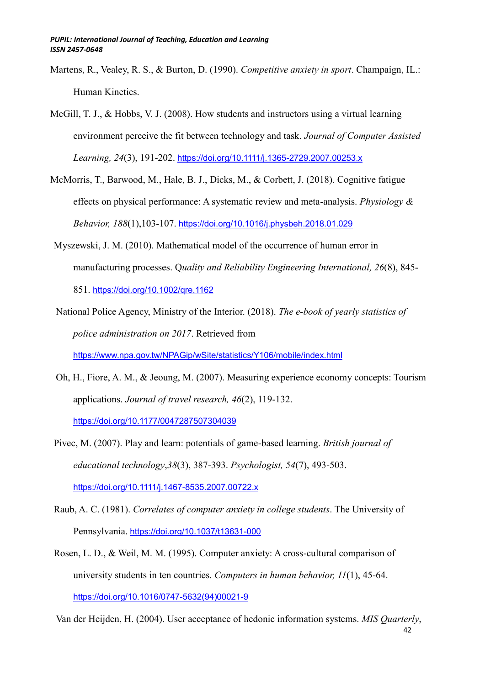- Martens, R., Vealey, R. S., & Burton, D. (1990). *Competitive anxiety in sport*. Champaign, IL.: Human Kinetics.
- McGill, T. J., & Hobbs, V. J. (2008). How students and instructors using a virtual learning environment perceive the fit between technology and task. *Journal of Computer Assisted Learning, 24*(3), 191-202. <https://doi.org/10.1111/j.1365-2729.2007.00253.x>
- McMorris, T., Barwood, M., Hale, B. J., Dicks, M., & Corbett, J. (2018). Cognitive fatigue effects on physical performance: A systematic review and meta-analysis. *Physiology & Behavior, 188*(1),103-107. <https://doi.org/10.1016/j.physbeh.2018.01.029>
- Myszewski, J. M. (2010). Mathematical model of the occurrence of human error in manufacturing processes. Q*uality and Reliability Engineering International, 26*(8), 845- 851. <https://doi.org/10.1002/qre.1162>
- National Police Agency, Ministry of the Interior. (2018). *The e-book of yearly statistics of police administration on 2017*. Retrieved from <https://www.npa.gov.tw/NPAGip/wSite/statistics/Y106/mobile/index.html>
- Oh, H., Fiore, A. M., & Jeoung, M. (2007). Measuring experience economy concepts: Tourism applications. *Journal of travel research, 46*(2), 119-132. <https://doi.org/10.1177/0047287507304039>
- Pivec, M. (2007). Play and learn: potentials of game‐based learning. *British journal of educational technology*,*38*(3), 387-393. *Psychologist, 54*(7), 493-503. <https://doi.org/10.1111/j.1467-8535.2007.00722.x>
- Raub, A. C. (1981). *Correlates of computer anxiety in college students*. The University of Pennsylvania. <https://doi.org/10.1037/t13631-000>
- Rosen, L. D., & Weil, M. M. (1995). Computer anxiety: A cross-cultural comparison of university students in ten countries. *Computers in human behavior, 11*(1), 45-64. [https://doi.org/10.1016/0747-5632\(94\)00021-9](https://doi.org/10.1016/0747-5632(94)00021-9)

42 Van der Heijden, H. (2004). User acceptance of hedonic information systems. *MIS Quarterly*,